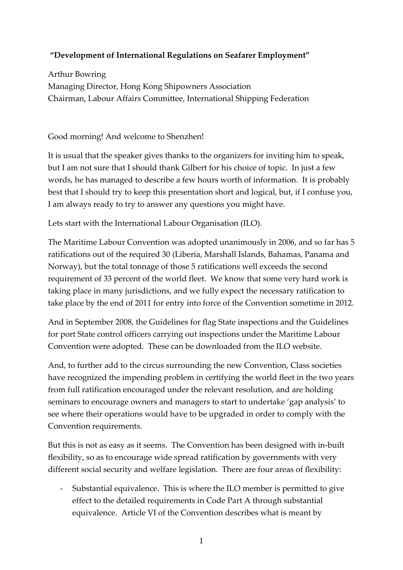## **"Development of International Regulations on Seafarer Employment"**

Arthur Bowring Managing Director, Hong Kong Shipowners Association Chairman, Labour Affairs Committee, International Shipping Federation

Good morning! And welcome to Shenzhen!

It is usual that the speaker gives thanks to the organizers for inviting him to speak, but I am not sure that I should thank Gilbert for his choice of topic. In just a few words, he has managed to describe a few hours worth of information. It is probably best that I should try to keep this presentation short and logical, but, if I confuse you, I am always ready to try to answer any questions you might have.

Lets start with the International Labour Organisation (ILO).

The Maritime Labour Convention was adopted unanimously in 2006, and so far has 5 ratifications out of the required 30 (Liberia, Marshall Islands, Bahamas, Panama and Norway), but the total tonnage of those 5 ratifications well exceeds the second requirement of 33 percent of the world fleet. We know that some very hard work is taking place in many jurisdictions, and we fully expect the necessary ratification to take place by the end of 2011 for entry into force of the Convention sometime in 2012.

And in September 2008, the Guidelines for flag State inspections and the Guidelines for port State control officers carrying out inspections under the Maritime Labour Convention were adopted. These can be downloaded from the ILO website.

And, to further add to the circus surrounding the new Convention, Class societies have recognized the impending problem in certifying the world fleet in the two years from full ratification encouraged under the relevant resolution, and are holding seminars to encourage owners and managers to start to undertake 'gap analysis' to see where their operations would have to be upgraded in order to comply with the Convention requirements.

But this is not as easy as it seems. The Convention has been designed with in‐built flexibility, so as to encourage wide spread ratification by governments with very different social security and welfare legislation. There are four areas of flexibility:

‐ Substantial equivalence. This is where the ILO member is permitted to give effect to the detailed requirements in Code Part A through substantial equivalence. Article VI of the Convention describes what is meant by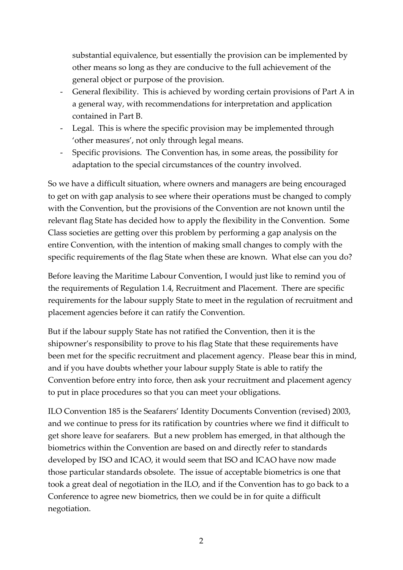substantial equivalence, but essentially the provision can be implemented by other means so long as they are conducive to the full achievement of the general object or purpose of the provision.

- ‐ General flexibility. This is achieved by wording certain provisions of Part A in a general way, with recommendations for interpretation and application contained in Part B.
- ‐ Legal. This is where the specific provision may be implemented through 'other measures', not only through legal means.
- ‐ Specific provisions. The Convention has, in some areas, the possibility for adaptation to the special circumstances of the country involved.

So we have a difficult situation, where owners and managers are being encouraged to get on with gap analysis to see where their operations must be changed to comply with the Convention, but the provisions of the Convention are not known until the relevant flag State has decided how to apply the flexibility in the Convention. Some Class societies are getting over this problem by performing a gap analysis on the entire Convention, with the intention of making small changes to comply with the specific requirements of the flag State when these are known. What else can you do?

Before leaving the Maritime Labour Convention, I would just like to remind you of the requirements of Regulation 1.4, Recruitment and Placement. There are specific requirements for the labour supply State to meet in the regulation of recruitment and placement agencies before it can ratify the Convention.

But if the labour supply State has not ratified the Convention, then it is the shipowner's responsibility to prove to his flag State that these requirements have been met for the specific recruitment and placement agency. Please bear this in mind, and if you have doubts whether your labour supply State is able to ratify the Convention before entry into force, then ask your recruitment and placement agency to put in place procedures so that you can meet your obligations.

ILO Convention 185 is the Seafarers' Identity Documents Convention (revised) 2003, and we continue to press for its ratification by countries where we find it difficult to get shore leave for seafarers. But a new problem has emerged, in that although the biometrics within the Convention are based on and directly refer to standards developed by ISO and ICAO, it would seem that ISO and ICAO have now made those particular standards obsolete. The issue of acceptable biometrics is one that took a great deal of negotiation in the ILO, and if the Convention has to go back to a Conference to agree new biometrics, then we could be in for quite a difficult negotiation.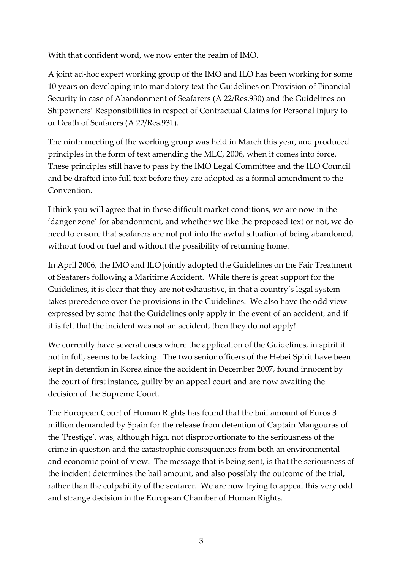With that confident word, we now enter the realm of IMO.

A joint ad‐hoc expert working group of the IMO and ILO has been working for some 10 years on developing into mandatory text the Guidelines on Provision of Financial Security in case of Abandonment of Seafarers (A 22/Res.930) and the Guidelines on Shipowners' Responsibilities in respect of Contractual Claims for Personal Injury to or Death of Seafarers (A 22/Res.931).

The ninth meeting of the working group was held in March this year, and produced principles in the form of text amending the MLC, 2006, when it comes into force. These principles still have to pass by the IMO Legal Committee and the ILO Council and be drafted into full text before they are adopted as a formal amendment to the Convention.

I think you will agree that in these difficult market conditions, we are now in the 'danger zone' for abandonment, and whether we like the proposed text or not, we do need to ensure that seafarers are not put into the awful situation of being abandoned, without food or fuel and without the possibility of returning home.

In April 2006, the IMO and ILO jointly adopted the Guidelines on the Fair Treatment of Seafarers following a Maritime Accident. While there is great support for the Guidelines, it is clear that they are not exhaustive, in that a country's legal system takes precedence over the provisions in the Guidelines. We also have the odd view expressed by some that the Guidelines only apply in the event of an accident, and if it is felt that the incident was not an accident, then they do not apply!

We currently have several cases where the application of the Guidelines, in spirit if not in full, seems to be lacking. The two senior officers of the Hebei Spirit have been kept in detention in Korea since the accident in December 2007, found innocent by the court of first instance, guilty by an appeal court and are now awaiting the decision of the Supreme Court.

The European Court of Human Rights has found that the bail amount of Euros 3 million demanded by Spain for the release from detention of Captain Mangouras of the 'Prestige', was, although high, not disproportionate to the seriousness of the crime in question and the catastrophic consequences from both an environmental and economic point of view. The message that is being sent, is that the seriousness of the incident determines the bail amount, and also possibly the outcome of the trial, rather than the culpability of the seafarer. We are now trying to appeal this very odd and strange decision in the European Chamber of Human Rights.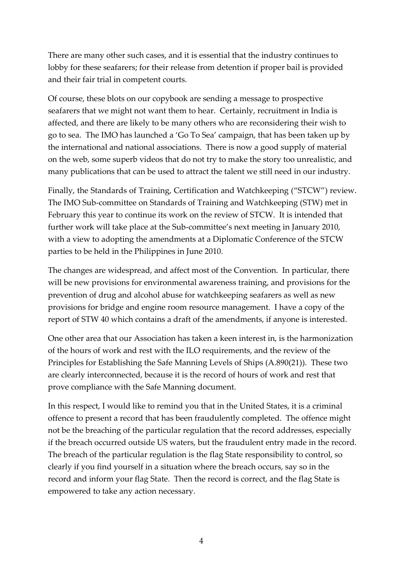There are many other such cases, and it is essential that the industry continues to lobby for these seafarers; for their release from detention if proper bail is provided and their fair trial in competent courts.

Of course, these blots on our copybook are sending a message to prospective seafarers that we might not want them to hear. Certainly, recruitment in India is affected, and there are likely to be many others who are reconsidering their wish to go to sea. The IMO has launched a 'Go To Sea' campaign, that has been taken up by the international and national associations. There is now a good supply of material on the web, some superb videos that do not try to make the story too unrealistic, and many publications that can be used to attract the talent we still need in our industry.

Finally, the Standards of Training, Certification and Watchkeeping ("STCW") review. The IMO Sub‐committee on Standards of Training and Watchkeeping (STW) met in February this year to continue its work on the review of STCW. It is intended that further work will take place at the Sub‐committee's next meeting in January 2010, with a view to adopting the amendments at a Diplomatic Conference of the STCW parties to be held in the Philippines in June 2010.

The changes are widespread, and affect most of the Convention. In particular, there will be new provisions for environmental awareness training, and provisions for the prevention of drug and alcohol abuse for watchkeeping seafarers as well as new provisions for bridge and engine room resource management. I have a copy of the report of STW 40 which contains a draft of the amendments, if anyone is interested.

One other area that our Association has taken a keen interest in, is the harmonization of the hours of work and rest with the ILO requirements, and the review of the Principles for Establishing the Safe Manning Levels of Ships (A.890(21)). These two are clearly interconnected, because it is the record of hours of work and rest that prove compliance with the Safe Manning document.

In this respect, I would like to remind you that in the United States, it is a criminal offence to present a record that has been fraudulently completed. The offence might not be the breaching of the particular regulation that the record addresses, especially if the breach occurred outside US waters, but the fraudulent entry made in the record. The breach of the particular regulation is the flag State responsibility to control, so clearly if you find yourself in a situation where the breach occurs, say so in the record and inform your flag State. Then the record is correct, and the flag State is empowered to take any action necessary.